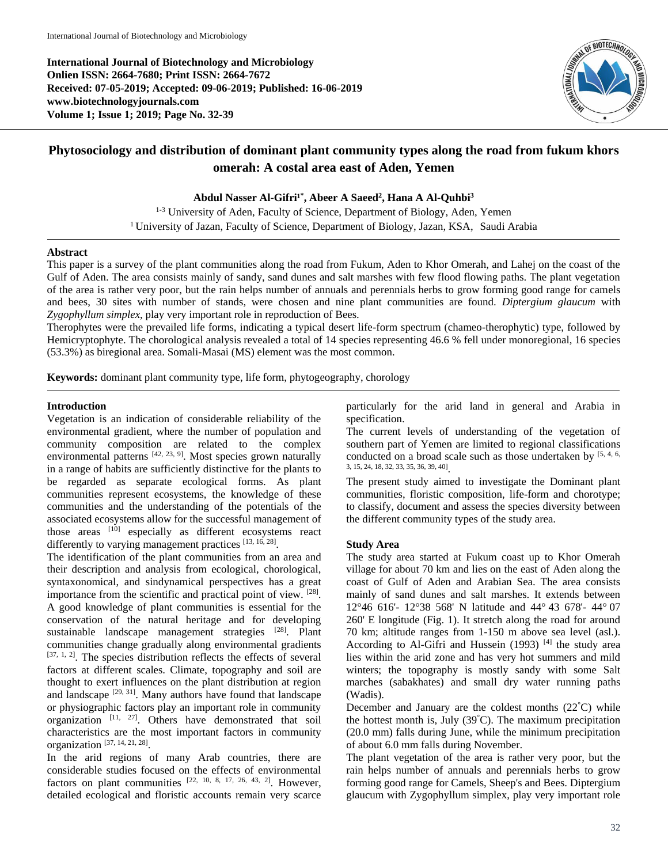**International Journal of Biotechnology and Microbiology Onlien ISSN: 2664-7680; Print ISSN: 2664-7672 Received: 07-05-2019; Accepted: 09-06-2019; Published: 16-06-2019 www.biotechnologyjournals.com Volume 1; Issue 1; 2019; Page No. 32-39**



# **Phytosociology and distribution of dominant plant community types along the road from fukum khors omerah: A costal area east of Aden, Yemen**

**Abdul Nasser Al-Gifri¹\* , Abeer A Saeed<sup>2</sup> , Hana A Al-Quhbi<sup>3</sup>**

<sup>1-3</sup> University of Aden, Faculty of Science, Department of Biology, Aden, Yemen <sup>1</sup> University of Jazan, Faculty of Science, Department of Biology, Jazan, KSA, Saudi Arabia

#### **Abstract**

This paper is a survey of the plant communities along the road from Fukum, Aden to Khor Omerah, and Lahej on the coast of the Gulf of Aden. The area consists mainly of sandy, sand dunes and salt marshes with few flood flowing paths. The plant vegetation of the area is rather very poor, but the rain helps number of annuals and perennials herbs to grow forming good range for camels and bees, 30 sites with number of stands, were chosen and nine plant communities are found. *Diptergium glaucum* with *Zygophyllum simplex*, play very important role in reproduction of Bees.

Therophytes were the prevailed life forms, indicating a typical desert life-form spectrum (chameo-therophytic) type, followed by Hemicryptophyte. The chorological analysis revealed a total of 14 species representing 46.6 % fell under monoregional, 16 species (53.3%) as biregional area. Somali-Masai (MS) element was the most common.

**Keywords:** dominant plant community type, life form, phytogeography, chorology

#### **Introduction**

Vegetation is an indication of considerable reliability of the environmental gradient, where the number of population and community composition are related to the complex environmental patterns  $[42, 23, 9]$ . Most species grown naturally in a range of habits are sufficiently distinctive for the plants to be regarded as separate ecological forms. As plant communities represent ecosystems, the knowledge of these communities and the understanding of the potentials of the associated ecosystems allow for the successful management of those areas <sup>[10]</sup> especially as different ecosystems react differently to varying management practices [13, 16, 28].

The identification of the plant communities from an area and their description and analysis from ecological, chorological, syntaxonomical, and sindynamical perspectives has a great importance from the scientific and practical point of view. [28]. A good knowledge of plant communities is essential for the conservation of the natural heritage and for developing sustainable landscape management strategies [28]. Plant communities change gradually along environmental gradients  $[37, 1, 2]$ . The species distribution reflects the effects of several factors at different scales. Climate, topography and soil are thought to exert influences on the plant distribution at region and landscape  $[29, 31]$ . Many authors have found that landscape or physiographic factors play an important role in community organization [11, 27]. Others have demonstrated that soil characteristics are the most important factors in community organization [37, 14, 21, 28] .

In the arid regions of many Arab countries, there are considerable studies focused on the effects of environmental factors on plant communities  $[22, 10, 8, 17, 26, 43, 2]$ . However, detailed ecological and floristic accounts remain very scarce

particularly for the arid land in general and Arabia in specification.

The current levels of understanding of the vegetation of southern part of Yemen are limited to regional classifications conducted on a broad scale such as those undertaken by  $[5, 4, 6, 6]$ 3, 15, 24, 18, 32, 33, 35, 36, 39, 40] .

The present study aimed to investigate the Dominant plant communities, floristic composition, life-form and chorotype; to classify, document and assess the species diversity between the different community types of the study area.

# **Study Area**

The study area started at Fukum coast up to Khor Omerah village for about 70 km and lies on the east of Aden along the coast of Gulf of Aden and Arabian Sea. The area consists mainly of sand dunes and salt marshes. It extends between 12°46 616'- 12°38 568' N latitude and 44° 43 678'- 44° 07 260' E longitude (Fig. 1). It stretch along the road for around 70 km; altitude ranges from 1-150 m above sea level (asl.). According to Al-Gifri and Hussein (1993)  $[4]$  the study area lies within the arid zone and has very hot summers and mild winters; the topography is mostly sandy with some Salt marches (sabakhates) and small dry water running paths (Wadis).

December and January are the coldest months (22°C) while the hottest month is, July  $(39^{\circ}C)$ . The maximum precipitation (20.0 mm) falls during June, while the minimum precipitation of about 6.0 mm falls during November.

The plant vegetation of the area is rather very poor, but the rain helps number of annuals and perennials herbs to grow forming good range for Camels, Sheep's and Bees. Diptergium glaucum with Zygophyllum simplex, play very important role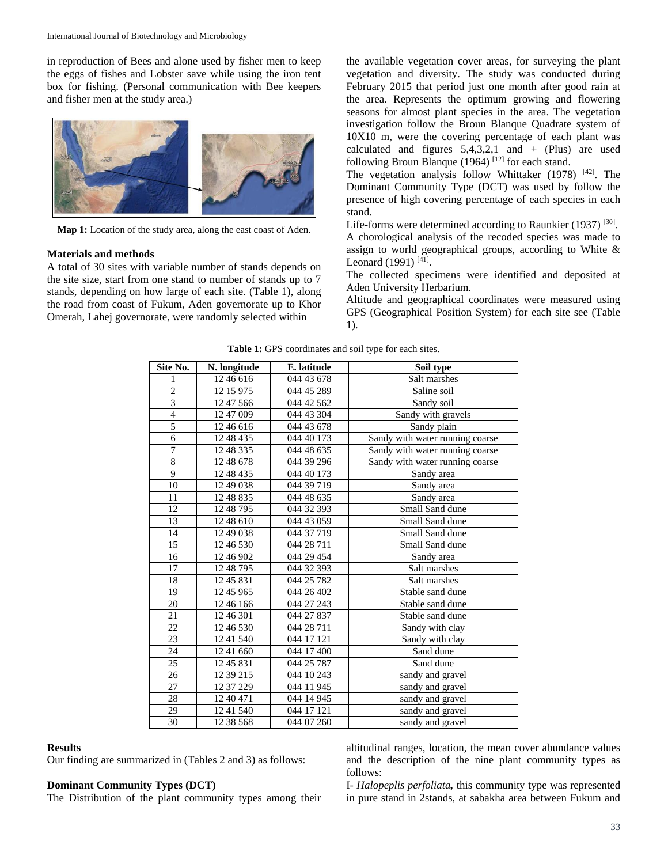in reproduction of Bees and alone used by fisher men to keep the eggs of fishes and Lobster save while using the iron tent box for fishing. (Personal communication with Bee keepers and fisher men at the study area.)



**Map 1:** Location of the study area, along the east coast of Aden.

#### **Materials and methods**

A total of 30 sites with variable number of stands depends on the site size, start from one stand to number of stands up to 7 stands, depending on how large of each site. (Table 1), along the road from coast of Fukum, Aden governorate up to Khor Omerah, Lahej governorate, were randomly selected within

the available vegetation cover areas, for surveying the plant vegetation and diversity. The study was conducted during February 2015 that period just one month after good rain at the area. Represents the optimum growing and flowering seasons for almost plant species in the area. The vegetation investigation follow the Broun Blanque Quadrate system of 10X10 m, were the covering percentage of each plant was calculated and figures  $5,4,3,2,1$  and  $+$  (Plus) are used following Broun Blanque (1964)<sup>[12]</sup> for each stand.

The vegetation analysis follow Whittaker (1978) [42]. The Dominant Community Type (DCT) was used by follow the presence of high covering percentage of each species in each stand.

Life-forms were determined according to Raunkier  $(1937)$ <sup>[30]</sup>. A chorological analysis of the recoded species was made to assign to world geographical groups, according to White & Leonard  $(1991)$ <sup>[41]</sup>.

The collected specimens were identified and deposited at Aden University Herbarium.

Altitude and geographical coordinates were measured using GPS (Geographical Position System) for each site see (Table 1).

| Site No.                 | N. longitude | E. latitude | Soil type                       |
|--------------------------|--------------|-------------|---------------------------------|
| 1                        | 12 46 616    | 044 43 678  | Salt marshes                    |
| $\overline{c}$           | 12 15 975    | 044 45 289  | Saline soil                     |
| $\overline{3}$           | 12 47 566    | 044 42 562  | Sandy soil                      |
| $\overline{\mathcal{L}}$ | 12 47 009    | 044 43 304  | Sandy with gravels              |
| 5                        | 12 46 616    | 044 43 678  | Sandy plain                     |
| 6                        | 12 48 435    | 044 40 173  | Sandy with water running coarse |
| 7                        | 12 48 335    | 044 48 635  | Sandy with water running coarse |
| 8                        | 12 48 678    | 044 39 296  | Sandy with water running coarse |
| $\overline{9}$           | 12 48 435    | 044 40 173  | Sandy area                      |
| 10                       | 12 49 038    | 044 39 719  | Sandy area                      |
| 11                       | 12 48 835    | 044 48 635  | Sandy area                      |
| 12                       | 12 48 795    | 044 32 393  | Small Sand dune                 |
| 13                       | 12 48 610    | 044 43 059  | Small Sand dune                 |
| 14                       | 12 49 038    | 044 37 719  | Small Sand dune                 |
| 15                       | 12 46 530    | 044 28 711  | Small Sand dune                 |
| 16                       | 12 46 902    | 044 29 454  | Sandy area                      |
| 17                       | 12 48 795    | 044 32 393  | Salt marshes                    |
| 18                       | 12 45 831    | 044 25 782  | Salt marshes                    |
| 19                       | 12 45 965    | 044 26 402  | Stable sand dune                |
| 20                       | 12 46 166    | 044 27 243  | Stable sand dune                |
| 21                       | 12 46 301    | 044 27 837  | Stable sand dune                |
| 22                       | 12 46 530    | 044 28 711  | Sandy with clay                 |
| 23                       | 12 41 540    | 044 17 121  | Sandy with clay                 |
| 24                       | 12 41 660    | 044 17 400  | Sand dune                       |
| 25                       | 1245831      | 044 25 787  | Sand dune                       |
| 26                       | 12 39 215    | 044 10 243  | sandy and gravel                |
| 27                       | 12 37 229    | 044 11 945  | sandy and gravel                |
| 28                       | 12 40 471    | 044 14 945  | sandy and gravel                |
| 29                       | 12 41 540    | 044 17 121  | sandy and gravel                |
| 30                       | 12 38 568    | 044 07 260  | sandy and gravel                |

**Table 1:** GPS coordinates and soil type for each sites.

#### **Results**

Our finding are summarized in (Tables 2 and 3) as follows:

# **Dominant Community Types (DCT)**

The Distribution of the plant community types among their

altitudinal ranges, location, the mean cover abundance values and the description of the nine plant community types as follows:

I- *Halopeplis perfoliata,* this community type was represented in pure stand in 2stands, at sabakha area between Fukum and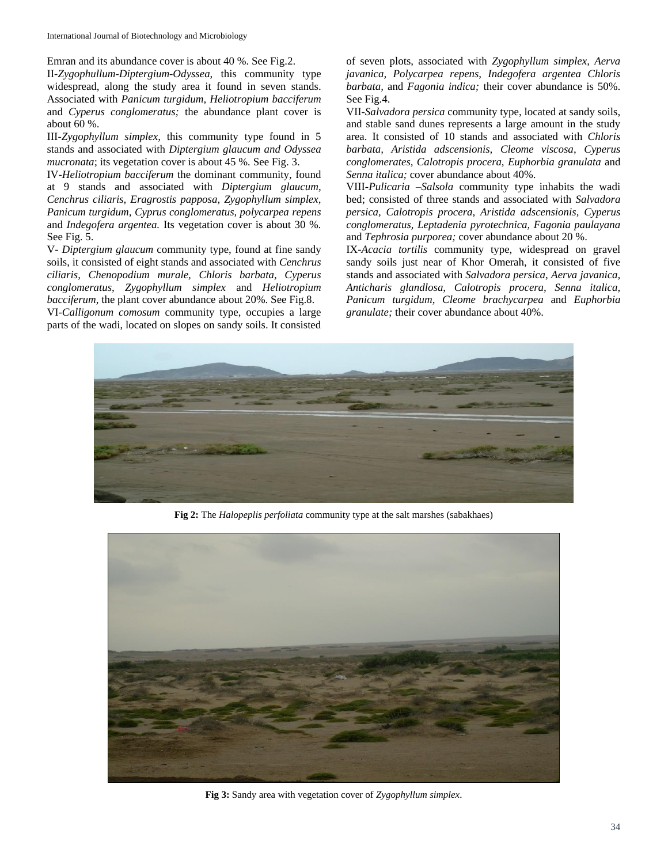International Journal of Biotechnology and Microbiology

Emran and its abundance cover is about 40 %. See Fig.2.

II-*Zygophullum-Diptergium-Odyssea*, this community type widespread, along the study area it found in seven stands. Associated with *Panicum turgidum, Heliotropium bacciferum*  and *Cyperus conglomeratus;* the abundance plant cover is about 60 %.

III-*Zygophyllum simplex,* this community type found in 5 stands and associated with *Diptergium glaucum and Odyssea mucronata*; its vegetation cover is about 45 %*.* See Fig. 3.

IV-*Heliotropium bacciferum* the dominant community, found at 9 stands and associated with *Diptergium glaucum*, *Cenchrus ciliaris, Eragrostis papposa, Zygophyllum simplex, Panicum turgidum*, *Cyprus conglomeratus, polycarpea repens*  and *Indegofera argentea.* Its vegetation cover is about 30 %*.* See Fig. 5.

V*- Diptergium glaucum* community type, found at fine sandy soils, it consisted of eight stands and associated with *Cenchrus ciliaris, Chenopodium murale, Chloris barbata, Cyperus conglomeratus, Zygophyllum simplex* and *Heliotropium bacciferum*, the plant cover abundance about 20%. See Fig.8. VI*-Calligonum comosum* community type, occupies a large

parts of the wadi, located on slopes on sandy soils. It consisted

of seven plots, associated with *Zygophyllum simplex, Aerva javanica, Polycarpea repens, Indegofera argentea Chloris barbata,* and *Fagonia indica;* their cover abundance is 50%. See Fig.4.

VII-*Salvadora persica* community type, located at sandy soils, and stable sand dunes represents a large amount in the study area. It consisted of 10 stands and associated with *Chloris barbata, Aristida adscensionis, Cleome viscosa*, *Cyperus conglomerates, Calotropis procera, Euphorbia granulata* and *Senna italica;* cover abundance about 40%.

VIII-*Pulicaria –Salsola* community type inhabits the wadi bed; consisted of three stands and associated with *Salvadora persica, Calotropis procera, Aristida adscensionis, Cyperus conglomeratus, Leptadenia pyrotechnica, Fagonia paulayana*  and *Tephrosia purporea;* cover abundance about 20 %.

IX-*Acacia tortilis* community type, widespread on gravel sandy soils just near of Khor Omerah, it consisted of five stands and associated with *Salvadora persica*, *Aerva javanica, Anticharis glandlosa, Calotropis procera, Senna italica, Panicum turgidum, Cleome brachycarpea* and *Euphorbia granulate;* their cover abundance about 40%.



**Fig 2:** The *Halopeplis perfoliata* community type at the salt marshes (sabakhaes)



**Fig 3:** Sandy area with vegetation cover of *Zygophyllum simplex*.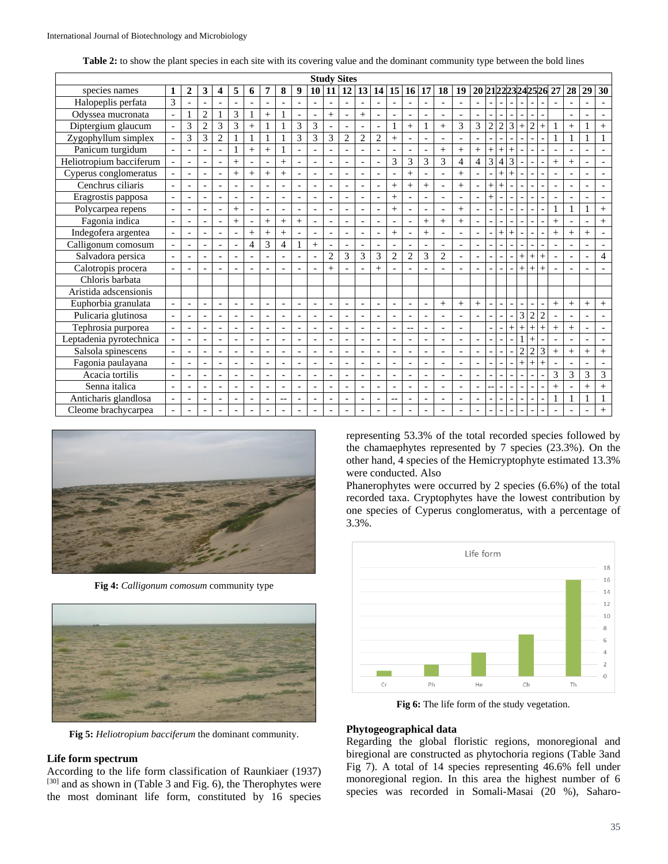| Table 2: to show the plant species in each site with its covering value and the dominant community type between the bold lines |  |  |  |  |
|--------------------------------------------------------------------------------------------------------------------------------|--|--|--|--|
|--------------------------------------------------------------------------------------------------------------------------------|--|--|--|--|

| <b>Study Sites</b>      |                          |                          |                   |                          |                          |                          |                          |                          |                          |                          |                          |                          |                          |                          |                          |                          |                          |                          |                          |                          |                          |                |                |                |                          |                          |                          |                          |                          |                          |
|-------------------------|--------------------------|--------------------------|-------------------|--------------------------|--------------------------|--------------------------|--------------------------|--------------------------|--------------------------|--------------------------|--------------------------|--------------------------|--------------------------|--------------------------|--------------------------|--------------------------|--------------------------|--------------------------|--------------------------|--------------------------|--------------------------|----------------|----------------|----------------|--------------------------|--------------------------|--------------------------|--------------------------|--------------------------|--------------------------|
| species names           |                          | 2                        | 3                 | 4                        | 5                        | 6                        | 7                        | 8                        | 9                        | 10 <sup>1</sup>          | 11                       | 12                       | 13                       | 14                       | 15                       | 16                       | 17                       | 18                       | 19                       | 20 21 22 23 24 25 26     |                          |                |                |                |                          |                          | 27                       | 28                       | 29                       | 30                       |
| Halopeplis perfata      | 3                        |                          |                   |                          | $\overline{a}$           |                          | L.                       |                          | $\overline{a}$           | $\overline{a}$           | $\overline{a}$           | $\overline{a}$           | $\overline{a}$           | $\overline{a}$           | ٠                        |                          |                          |                          |                          | $\overline{a}$           |                          | $\overline{a}$ |                | $\overline{a}$ |                          |                          | $\overline{a}$           | $\overline{a}$           | ۰                        | $\overline{\phantom{a}}$ |
| Odyssea mucronata       | $\overline{a}$           |                          | $\overline{2}$    |                          | 3                        | 1                        | $\ddot{}$                |                          | $\overline{a}$           |                          | $^{+}$                   |                          | $^{+}$                   | $\sim$                   |                          |                          | $\overline{a}$           | $\overline{a}$           | $\overline{a}$           | $\overline{a}$           |                          |                | $\overline{a}$ |                | $\overline{a}$           |                          |                          | $\blacksquare$           | $\overline{\phantom{a}}$ |                          |
| Diptergium glaucum      | $\overline{\phantom{a}}$ | 3                        | $\overline{2}$    | 3                        | 3                        | $^{+}$                   | $\mathbf{1}$             |                          | 3                        | 3                        | $\overline{\phantom{a}}$ | $\overline{a}$           | $\overline{a}$           | $\overline{a}$           | $\overline{1}$           | $\ddot{}$                | 1                        | $+$                      | 3                        | 3                        | $\overline{2}$           | $\overline{2}$ | 3              | $\overline{+}$ | $\overline{c}$           | $\ddot{}$                |                          | $+$                      | $\mathbf{1}$             | $^{+}$                   |
| Zygophyllum simplex     |                          | 3                        | 3                 | $\overline{c}$           | 1                        | 1                        | $\mathbf{1}$             |                          | 3                        | 3                        | 3                        | $\overline{2}$           | $\overline{2}$           | $\overline{2}$           | $+$                      |                          |                          |                          |                          |                          |                          |                |                |                |                          |                          | 1                        | $\mathbf{1}$             | $\mathbf{1}$             |                          |
| Panicum turgidum        |                          | $\overline{\phantom{a}}$ |                   |                          | 1                        | $^{+}$                   | $^{+}$                   |                          |                          |                          |                          |                          | $\overline{\phantom{a}}$ | $\overline{\phantom{a}}$ |                          |                          |                          | $^{+}$                   | $+$                      | $^{+}$                   | $^{+}$                   | $^{+}$         | $^{+}$         |                |                          |                          | $\overline{\phantom{a}}$ | $\overline{\phantom{a}}$ | $\overline{\phantom{a}}$ |                          |
| Heliotropium bacciferum |                          |                          |                   |                          | $+$                      | $\overline{a}$           | $\overline{\phantom{a}}$ | $^{+}$                   | $\overline{a}$           | $\blacksquare$           |                          |                          | $\overline{\phantom{a}}$ |                          | 3                        | 3                        | 3                        | 3                        | $\overline{4}$           | 4                        | 3                        | $\overline{4}$ | 3              |                |                          |                          | $^{+}$                   | $^{+}$                   | $\qquad \qquad -$        |                          |
| Cyperus conglomeratus   |                          | $\overline{\phantom{a}}$ |                   | $\overline{\phantom{a}}$ | $\ddot{}$                | $\ddot{}$                | $\ddot{}$                | $+$                      | $\overline{a}$           | $\overline{a}$           | ۰                        |                          | $\overline{a}$           | $\overline{a}$           | $\overline{a}$           | $\ddot{}$                | $\overline{a}$           | $\overline{a}$           | $\ddot{}$                | $\overline{a}$           |                          | $\ddot{}$      | $^{+}$         |                | L,                       |                          | $\overline{\phantom{a}}$ | $\overline{a}$           | $\qquad \qquad -$        | $\blacksquare$           |
| Cenchrus ciliaris       | $\blacksquare$           | $\overline{\phantom{a}}$ | $\overline{a}$    | $\overline{\phantom{a}}$ | $\blacksquare$           | $\overline{a}$           | $\overline{a}$           |                          | $\overline{a}$           | $\overline{a}$           | $\overline{a}$           | $\overline{a}$           | $\overline{\phantom{a}}$ | $\overline{\phantom{a}}$ | $+$                      | $+$                      | $^{+}$                   | $\blacksquare$           | $+$                      | $\overline{a}$           | $^{+}$                   | $^{+}$         |                |                | $\overline{a}$           |                          | $\overline{a}$           | $\blacksquare$           | $\overline{a}$           | $\blacksquare$           |
| Eragrostis papposa      |                          | $\overline{a}$           |                   |                          | $\blacksquare$           | $\overline{a}$           | $\blacksquare$           |                          | $\overline{a}$           | $\overline{a}$           | $\overline{a}$           |                          | $\overline{\phantom{a}}$ | $\sim$                   | $+$                      |                          |                          | $\overline{a}$           | $\overline{a}$           | $\overline{a}$           | $\ddot{}$                |                |                |                | $\overline{a}$           |                          | $\overline{a}$           | $\sim$                   | $\overline{\phantom{a}}$ | $\blacksquare$           |
| Polycarpea repens       |                          | $\overline{a}$           | $\overline{a}$    | $\overline{a}$           | $\ddot{}$                | $\overline{a}$           | $\blacksquare$           |                          | $\overline{a}$           | $\overline{a}$           | $\overline{a}$           |                          | $\overline{\phantom{a}}$ | $\overline{a}$           | $+$                      |                          | $\overline{a}$           | $\overline{a}$           | $+$                      | $\overline{\phantom{a}}$ | $\overline{a}$           |                |                |                |                          |                          | 1                        | 1                        | $\mathbf{1}$             | $^{+}$                   |
| Fagonia indica          | $\overline{a}$           | $\overline{a}$           |                   |                          | $+$                      | $\overline{a}$           | $+$                      | $+$                      | $^{+}$                   | $\overline{a}$           | $\overline{a}$           | $\overline{a}$           | $\overline{\phantom{a}}$ | $\overline{a}$           | ٠                        |                          | $^{+}$                   | $^{+}$                   | $+$                      | $\overline{\phantom{0}}$ |                          |                |                | $\overline{a}$ | $\overline{a}$           |                          | $^{+}$                   | $\sim$                   | $\overline{a}$           | $^{+}$                   |
| Indegofera argentea     |                          | $\overline{a}$           |                   | $\overline{\phantom{a}}$ | $\blacksquare$           | $+$                      | $\ddot{}$                | $^{+}$                   | $\overline{a}$           |                          |                          |                          | $\overline{a}$           | $\overline{\phantom{a}}$ | $+$                      | $\overline{\phantom{a}}$ | $^{+}$                   |                          | $\overline{\phantom{a}}$ | $\overline{\phantom{a}}$ |                          | $^{+}$         | $^{+}$         |                |                          |                          | $\ddot{}$                | $^{+}$                   | $+$                      | ٠                        |
| Calligonum comosum      |                          | $\overline{a}$           |                   | $\overline{\phantom{a}}$ | $\overline{\phantom{a}}$ | $\overline{4}$           | 3                        | $\overline{4}$           | $\mathbf{1}$             | $^{+}$                   | $\overline{a}$           |                          | $\blacksquare$           | $\overline{\phantom{a}}$ | $\overline{a}$           |                          | $\overline{a}$           | $\overline{\phantom{a}}$ | $\overline{a}$           | $\overline{a}$           |                          |                |                |                |                          |                          | $\overline{a}$           | $\overline{\phantom{a}}$ | $\overline{\phantom{a}}$ |                          |
| Salvadora persica       |                          | $\overline{\phantom{a}}$ |                   |                          | $\blacksquare$           | $\overline{a}$           | $\overline{\phantom{a}}$ |                          |                          | $\overline{a}$           | $\overline{2}$           | 3                        | 3                        | 3                        | $\overline{2}$           | $\overline{2}$           | 3                        | $\overline{c}$           | $\overline{a}$           | $\overline{\phantom{0}}$ |                          |                |                | $\overline{+}$ | $^{+}$                   | $^{+}$                   | $\overline{\phantom{a}}$ | $\overline{\phantom{a}}$ | $\overline{\phantom{a}}$ | $\overline{4}$           |
| Calotropis procera      |                          |                          |                   |                          | $\overline{a}$           |                          | $\overline{\phantom{0}}$ |                          |                          | $\overline{\phantom{a}}$ | $^{+}$                   |                          | $\overline{a}$           | $^{+}$                   |                          |                          |                          |                          | $\overline{a}$           |                          |                          |                |                | $\overline{+}$ | $\overline{+}$           | $\ddot{}$                | $\qquad \qquad -$        | $\overline{\phantom{a}}$ | ۰                        |                          |
| Chloris barbata         |                          |                          |                   |                          |                          |                          |                          |                          |                          |                          |                          |                          |                          |                          |                          |                          |                          |                          |                          |                          |                          |                |                |                |                          |                          |                          |                          |                          |                          |
| Aristida adscensionis   |                          |                          |                   |                          |                          |                          |                          |                          |                          |                          |                          |                          |                          |                          |                          |                          |                          |                          |                          |                          |                          |                |                |                |                          |                          |                          |                          |                          |                          |
| Euphorbia granulata     |                          | $\overline{a}$           | $\overline{a}$    |                          | $\overline{a}$           | $\overline{a}$           | $\overline{\phantom{a}}$ |                          | $\overline{a}$           | $\overline{\phantom{a}}$ | $\overline{a}$           | $\overline{a}$           | $\overline{\phantom{a}}$ | $\overline{\phantom{a}}$ | $\overline{a}$           | $\overline{\phantom{a}}$ | $\overline{a}$           | $+$                      | $+$                      | $^{+}$                   | $\overline{a}$           | $\overline{a}$ |                | $\overline{a}$ | $\overline{a}$           | $\overline{a}$           | $+$                      | $\! + \!\!\!\!$          | $+$                      | $+$                      |
| Pulicaria glutinosa     | $\bar{a}$                | $\overline{\phantom{a}}$ | $\overline{a}$    | $\overline{\phantom{a}}$ | $\sim$                   | $\overline{a}$           | $\blacksquare$           | $\overline{a}$           | $\overline{\phantom{a}}$ | $\sim$                   | $\blacksquare$           | $\overline{a}$           | $\overline{\phantom{a}}$ | $\sim$                   | $\overline{a}$           |                          | $\overline{a}$           | $\blacksquare$           | $\overline{\phantom{a}}$ | $\overline{\phantom{a}}$ | $\overline{a}$           | $\overline{a}$ |                | 3              | $\overline{2}$           | $\overline{2}$           | $\blacksquare$           | $\overline{a}$           | $\overline{\phantom{a}}$ | $\blacksquare$           |
| Tephrosia purporea      | $\blacksquare$           | $\overline{a}$           |                   | $\overline{\phantom{a}}$ | $\overline{\phantom{a}}$ | $\overline{a}$           | $\overline{a}$           |                          | $\overline{a}$           | $\sim$                   | $\overline{a}$           | $\overline{a}$           | $\overline{a}$           | $\overline{a}$           | $\overline{a}$           | $-$                      | $\overline{a}$           | $\overline{\phantom{a}}$ | $\overline{a}$           |                          | $\overline{a}$           |                | $\ddot{}$      | $^{+}$         | $\ddot{}$                | $^{+}$                   | $+$                      | $+$                      | $\overline{a}$           |                          |
| Leptadenia pyrotechnica |                          |                          |                   |                          | $\overline{a}$           | $\overline{a}$           | $\overline{\phantom{a}}$ |                          | $\overline{a}$           | $\overline{a}$           | $\overline{a}$           |                          | $\overline{\phantom{a}}$ | $\overline{\phantom{a}}$ |                          |                          |                          |                          | ÷,                       | $\overline{a}$           |                          |                |                |                | $\overline{+}$           |                          | $\overline{a}$           | $\overline{\phantom{a}}$ | $\overline{a}$           | $\blacksquare$           |
| Salsola spinescens      |                          | $\overline{a}$           |                   |                          | $\bar{a}$                |                          | Ĭ.                       |                          | $\overline{a}$           |                          |                          |                          | $\overline{a}$           |                          |                          |                          |                          | $\overline{a}$           | $\overline{a}$           | $\overline{a}$           |                          |                |                | $\overline{2}$ | $\overline{2}$           | 3                        | $+$                      | $^{+}$                   | $\ddot{+}$               | $^{+}$                   |
| Fagonia paulayana       |                          | $\overline{\phantom{a}}$ |                   | $\overline{\phantom{a}}$ | $\overline{\phantom{a}}$ | $\overline{\phantom{a}}$ | $\overline{\phantom{a}}$ |                          | $\overline{a}$           | $\blacksquare$           |                          |                          | $\overline{\phantom{a}}$ | $\overline{\phantom{a}}$ | $\overline{\phantom{0}}$ |                          | $\overline{a}$           | $\overline{\phantom{a}}$ | $\overline{\phantom{a}}$ | $\qquad \qquad -$        |                          |                |                | $^{+}$         | $^{+}$                   | $\ddot{}$                | $\overline{\phantom{a}}$ | $\overline{a}$           |                          |                          |
| Acacia tortilis         | $\blacksquare$           | $\overline{\phantom{a}}$ | $\qquad \qquad -$ | $\overline{\phantom{a}}$ | $\bar{a}$                | $\overline{\phantom{a}}$ | $\blacksquare$           |                          | $\qquad \qquad -$        | $\overline{\phantom{a}}$ | $\overline{\phantom{a}}$ | $\overline{\phantom{a}}$ | $\overline{\phantom{a}}$ | $\overline{\phantom{a}}$ | $\qquad \qquad -$        |                          | $\overline{\phantom{a}}$ | $\overline{\phantom{a}}$ | $\blacksquare$           | $\overline{\phantom{a}}$ |                          |                |                |                |                          |                          | 3                        | 3                        | 3                        | 3                        |
| Senna italica           | $\overline{\phantom{a}}$ | $\overline{a}$           |                   |                          | $\blacksquare$           | $\overline{a}$           | $\overline{a}$           | $\overline{\phantom{a}}$ | $\overline{a}$           | $\blacksquare$           | ۰                        | $\overline{\phantom{a}}$ | $\overline{\phantom{a}}$ | $\overline{\phantom{a}}$ | ۰                        | $\overline{\phantom{a}}$ | $\overline{a}$           | $\overline{\phantom{a}}$ | $\overline{a}$           | $\qquad \qquad -$        |                          |                |                | $\overline{a}$ | $\overline{\phantom{a}}$ | $\overline{a}$           | $\ddot{}$                | $\blacksquare$           | $^{+}$                   | $+$                      |
| Anticharis glandlosa    | $\blacksquare$           | $\overline{a}$           | $\overline{a}$    | $\overline{\phantom{a}}$ | $\blacksquare$           | $\overline{a}$           | ٠                        | $-$                      | $\overline{a}$           | $\overline{a}$           | $\overline{a}$           | $\blacksquare$           | $\overline{\phantom{a}}$ | $\overline{\phantom{a}}$ | $-$                      |                          | $\overline{a}$           | $\overline{a}$           | $\overline{\phantom{a}}$ | $\overline{\phantom{a}}$ | $\overline{\phantom{0}}$ | $\overline{a}$ |                | $\overline{a}$ | ۳                        | $\overline{\phantom{a}}$ | $\mathbf{1}$             | $\mathbf{1}$             | $\overline{1}$           |                          |
| Cleome brachycarpea     |                          |                          |                   |                          | $\blacksquare$           | $\overline{a}$           | $\overline{\phantom{a}}$ |                          |                          |                          |                          |                          | $\overline{\phantom{a}}$ |                          |                          |                          |                          |                          |                          | $\overline{\phantom{a}}$ |                          |                |                | $\overline{a}$ |                          |                          | $\overline{a}$           |                          |                          | $+$                      |



**Fig 4:** *Calligonum comosum* community type



**Fig 5:** *Heliotropium bacciferum* the dominant community.

## **Life form spectrum**

According to the life form classification of Raunkiaer (1937) [30] and as shown in (Table 3 and Fig. 6), the Therophytes were the most dominant life form, constituted by 16 species representing 53.3% of the total recorded species followed by the chamaephytes represented by 7 species (23.3%). On the other hand, 4 species of the Hemicryptophyte estimated 13.3% were conducted. Also

Phanerophytes were occurred by 2 species (6.6%) of the total recorded taxa. Cryptophytes have the lowest contribution by one species of Cyperus conglomeratus, with a percentage of 3.3%.



**Fig 6:** The life form of the study vegetation.

#### **Phytogeographical data**

Regarding the global floristic regions, monoregional and biregional are constructed as phytochoria regions (Table 3and Fig 7). A total of 14 species representing 46.6% fell under monoregional region. In this area the highest number of 6 species was recorded in Somali-Masai (20 %), Saharo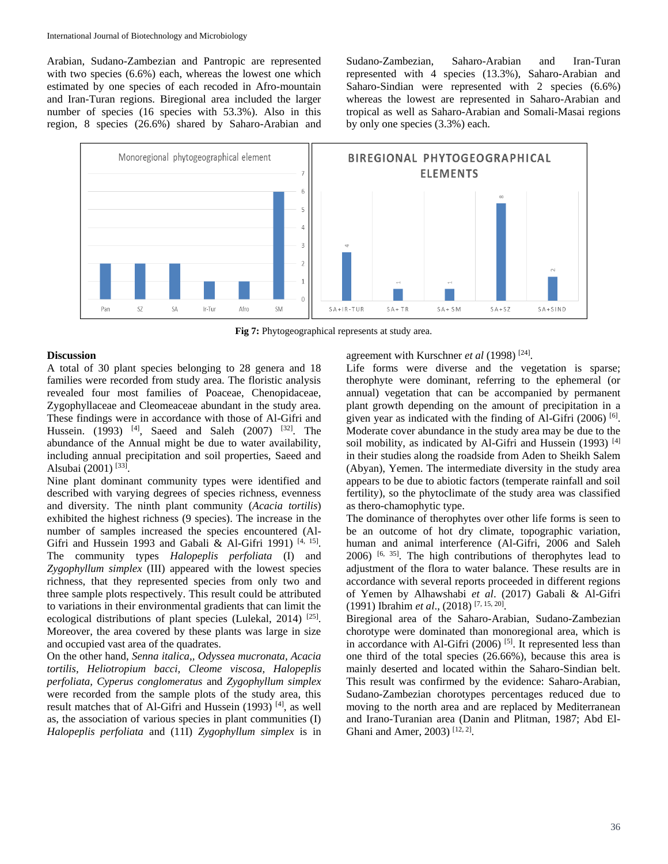Arabian, Sudano-Zambezian and Pantropic are represented with two species  $(6.6\%)$  each, whereas the lowest one which estimated by one species of each recoded in Afro-mountain and Iran-Turan regions. Biregional area included the larger number of species (16 species with 53.3%). Also in this region, 8 species (26.6%) shared by Saharo-Arabian and

Sudano-Zambezian, Saharo-Arabian and Iran-Turan represented with 4 species (13.3%), Saharo-Arabian and Saharo-Sindian were represented with 2 species (6.6%) whereas the lowest are represented in Saharo-Arabian and tropical as well as Saharo-Arabian and Somali-Masai regions by only one species (3.3%) each.



**Fig 7:** Phytogeographical represents at study area.

## **Discussion**

A total of 30 plant species belonging to 28 genera and 18 families were recorded from study area. The floristic analysis revealed four most families of Poaceae, Chenopidaceae, Zygophyllaceae and Cleomeaceae abundant in the study area. These findings were in accordance with those of Al-Gifri and Hussein. (1993) <sup>[4]</sup>, Saeed and Saleh (2007) <sup>[32]</sup>. The abundance of the Annual might be due to water availability, including annual precipitation and soil properties, Saeed and Alsubai (2001)<sup>[33]</sup>.

Nine plant dominant community types were identified and described with varying degrees of species richness, evenness and diversity. The ninth plant community (*Acacia tortilis*) exhibited the highest richness (9 species). The increase in the number of samples increased the species encountered (Al-Gifri and Hussein 1993 and Gabali & Al-Gifri 1991)<sup>[4, 15]</sup>. The community types *Halopeplis perfoliata* (I) and *Zygophyllum simplex* (III) appeared with the lowest species richness, that they represented species from only two and three sample plots respectively. This result could be attributed to variations in their environmental gradients that can limit the ecological distributions of plant species (Lulekal, 2014)  $^{[25]}$ . Moreover, the area covered by these plants was large in size and occupied vast area of the quadrates.

On the other hand, *Senna italica,, Odyssea mucronata, Acacia tortilis, Heliotropium bacci, Cleome viscosa, Halopeplis perfoliata, Cyperus conglomeratus* and *Zygophyllum simplex* were recorded from the sample plots of the study area, this result matches that of Al-Gifri and Hussein (1993)<sup>[4]</sup>, as well as, the association of various species in plant communities (I) *Halopeplis perfoliata* and (11I) *Zygophyllum simplex* is in agreement with Kurschner *et al* (1998)<sup>[24]</sup>.

Life forms were diverse and the vegetation is sparse; therophyte were dominant, referring to the ephemeral (or annual) vegetation that can be accompanied by permanent plant growth depending on the amount of precipitation in a given year as indicated with the finding of Al-Gifri (2006)<sup>[6]</sup>. Moderate cover abundance in the study area may be due to the soil mobility, as indicated by Al-Gifri and Hussein (1993)<sup>[4]</sup> in their studies along the roadside from Aden to Sheikh Salem (Abyan), Yemen. The intermediate diversity in the study area appears to be due to abiotic factors (temperate rainfall and soil fertility), so the phytoclimate of the study area was classified as thero-chamophytic type.

The dominance of therophytes over other life forms is seen to be an outcome of hot dry climate, topographic variation, human and animal interference (Al-Gifri, 2006 and Saleh  $2006$ ) <sup>[6, 35]</sup>. The high contributions of therophytes lead to adjustment of the flora to water balance. These results are in accordance with several reports proceeded in different regions of Yemen by Alhawshabi *et al*. (2017) Gabali & Al-Gifri (1991) Ibrahim *et al*., (2018) [7, 15, 20] .

Biregional area of the Saharo-Arabian, Sudano-Zambezian chorotype were dominated than monoregional area, which is in accordance with Al-Gifri  $(2006)$  [5]. It represented less than one third of the total species (26.66%), because this area is mainly deserted and located within the Saharo-Sindian belt. This result was confirmed by the evidence: Saharo-Arabian, Sudano-Zambezian chorotypes percentages reduced due to moving to the north area and are replaced by Mediterranean and Irano-Turanian area (Danin and Plitman, 1987; Abd El-Ghani and Amer, 2003)<sup>[12, 2]</sup>.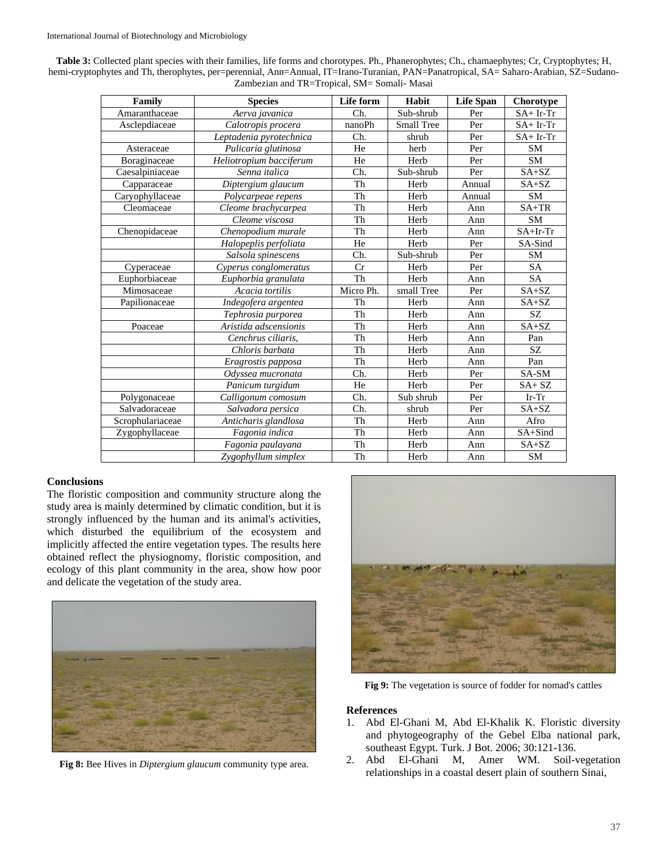| Family           | <b>Species</b>          | Life form | Habit      | <b>Life Span</b> | Chorotype   |  |  |
|------------------|-------------------------|-----------|------------|------------------|-------------|--|--|
| Amaranthaceae    | Aerva javanica          | Ch.       | Sub-shrub  | Per              | $SA+ Ir-Tr$ |  |  |
| Asclepdiaceae    | Calotropis procera      | nanoPh    | Small Tree | Per              | $SA+ Ir-Tr$ |  |  |
|                  | Leptadenia pyrotechnica | Ch.       | shrub      | Per              | $SA+Ir-Tr$  |  |  |
| Asteraceae       | Pulicaria glutinosa     | He        | herb       | Per              | <b>SM</b>   |  |  |
| Boraginaceae     | Heliotropium bacciferum | He        | Herb       | Per              | <b>SM</b>   |  |  |
| Caesalpiniaceae  | Senna italica           | Ch.       | Sub-shrub  | Per              | $SA+SZ$     |  |  |
| Capparaceae      | Diptergium glaucum      | Th        | Herb       | Annual           | $SA+SZ$     |  |  |
| Caryophyllaceae  | Polycarpeae repens      | Th        | Herb       | Annual           | <b>SM</b>   |  |  |
| Cleomaceae       | Cleome brachycarpea     | Th        | Herb       | Ann              | $SA+TR$     |  |  |
|                  | Cleome viscosa          | Th        | Herb       | Ann              | <b>SM</b>   |  |  |
| Chenopidaceae    | Chenopodium murale      | Th        | Herb       | Ann              | $SA+Ir-Tr$  |  |  |
|                  | Halopeplis perfoliata   | He        | Herb       | Per              | SA-Sind     |  |  |
|                  | Salsola spinescens      | Ch.       | Sub-shrub  | Per              | <b>SM</b>   |  |  |
| Cyperaceae       | Cyperus conglomeratus   | Cr        | Herb       | Per              | <b>SA</b>   |  |  |
| Euphorbiaceae    | Euphorbia granulata     | Th        | Herb       | Ann              | <b>SA</b>   |  |  |
| Mimosaceae       | Acacia tortilis         | Micro Ph. | small Tree | Per              | $SA+SZ$     |  |  |
| Papilionaceae    | Indegofera argentea     | Th        | Herb       | Ann              | $SA+SZ$     |  |  |
|                  | Tephrosia purporea      | Th        | Herb       | Ann              | SZ.         |  |  |
| Poaceae          | Aristida adscensionis   | Th        | Herb       | Ann              | $SA+SZ$     |  |  |
|                  | Cenchrus ciliaris,      | Th        | Herb       | Ann              | Pan         |  |  |
|                  | Chloris barbata         | Th        | Herb       | Ann              | SZ          |  |  |
|                  | Eragrostis papposa      | Th        | Herb       | Ann              | Pan         |  |  |
|                  | Odyssea mucronata       | Ch.       | Herb       | Per              | SA-SM       |  |  |
|                  | Panicum turgidum        | He        | Herb       | Per              | $SA+SZ$     |  |  |
| Polygonaceae     | Calligonum comosum      | Ch.       | Sub shrub  | Per              | $Ir-Tr$     |  |  |
| Salvadoraceae    | Salvadora persica       | Ch.       | shrub      | Per              | $SA+SZ$     |  |  |
| Scrophulariaceae | Anticharis glandlosa    | Th        | Herb       | Ann              | Afro        |  |  |
| Zygophyllaceae   | Fagonia indica          | Th        | Herb       | Ann              | SA+Sind     |  |  |
|                  | Fagonia paulayana       | Th        | Herb       | Ann              | $SA+SZ$     |  |  |
|                  | Zygophyllum simplex     | Th        | Herb       | Ann              | <b>SM</b>   |  |  |

**Table 3:** Collected plant species with their families, life forms and chorotypes. Ph., Phanerophytes; Ch., chamaephytes; Cr, Cryptophytes; H, hemi-cryptophytes and Th, therophytes, per=perennial, Ann=Annual, IT=Irano-Turanian, PAN=Panatropical, SA= Saharo-Arabian, SZ=Sudano-Zambezian and TR=Tropical, SM= Somali- Masai

# **Conclusions**

The floristic composition and community structure along the study area is mainly determined by climatic condition, but it is strongly influenced by the human and its animal's activities, which disturbed the equilibrium of the ecosystem and implicitly affected the entire vegetation types. The results here obtained reflect the physiognomy, floristic composition, and ecology of this plant community in the area, show how poor and delicate the vegetation of the study area.



**Fig 8:** Bee Hives in *Diptergium glaucum* community type area.



**Fig 9:** The vegetation is source of fodder for nomad's cattles

## **References**

- 1. Abd El-Ghani M, Abd El-Khalik K. Floristic diversity and phytogeography of the Gebel Elba national park, southeast Egypt. Turk. J Bot. 2006; 30:121-136.
- 2. Abd El-Ghani M, Amer WM. Soil-vegetation relationships in a coastal desert plain of southern Sinai,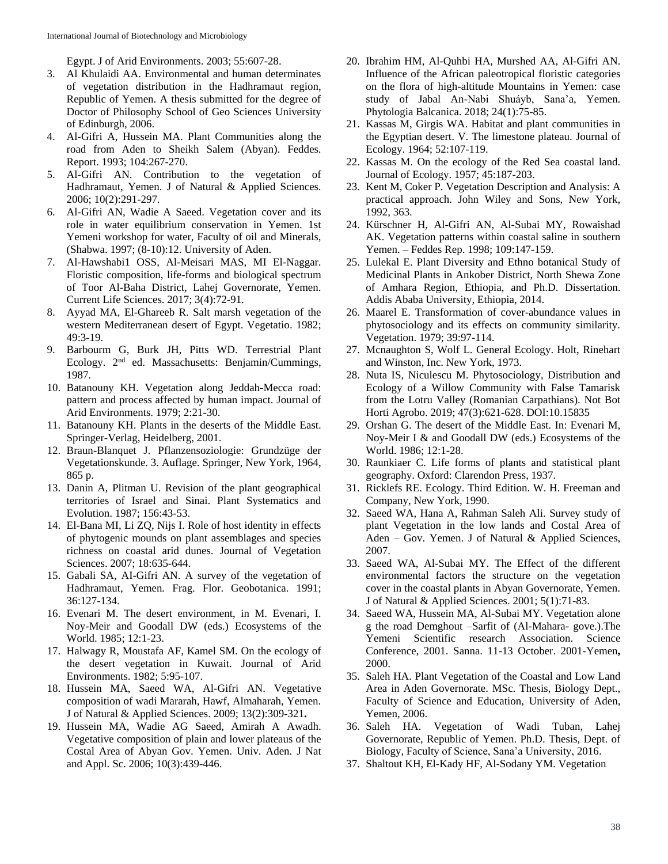Egypt. J of Arid Environments. 2003; 55:607-28.

- 3. Al Khulaidi AA. Environmental and human determinates of vegetation distribution in the Hadhramaut region, Republic of Yemen. A thesis submitted for the degree of Doctor of Philosophy School of Geo Sciences University of Edinburgh, 2006.
- 4. Al-Gifri A, Hussein MA. Plant Communities along the road from Aden to Sheikh Salem (Abyan). Feddes. Report. 1993; 104:267-270.
- 5. Al-Gifri AN. Contribution to the vegetation of Hadhramaut, Yemen. J of Natural & Applied Sciences. 2006; 10(2):291-297.
- 6. Al-Gifri AN, Wadie A Saeed. Vegetation cover and its role in water equilibrium conservation in Yemen. 1st Yemeni workshop for water, Faculty of oil and Minerals, (Shabwa. 1997; (8-10):12. University of Aden.
- 7. Al-Hawshabi1 OSS, Al-Meisari MAS, MI El-Naggar. Floristic composition, life-forms and biological spectrum of Toor Al-Baha District, Lahej Governorate, Yemen. Current Life Sciences. 2017; 3(4):72-91.
- 8. Ayyad MA, El-Ghareeb R. Salt marsh vegetation of the western Mediterranean desert of Egypt. Vegetatio. 1982; 49:3-19.
- 9. Barbourm G, Burk JH, Pitts WD. Terrestrial Plant Ecology. 2<sup>nd</sup> ed. Massachusetts: Benjamin/Cummings, 1987.
- 10. Batanouny KH. Vegetation along Jeddah-Mecca road: pattern and process affected by human impact. Journal of Arid Environments. 1979; 2:21-30.
- 11. Batanouny KH. Plants in the deserts of the Middle East. Springer-Verlag, Heidelberg, 2001.
- 12. Braun-Blanquet J. Pflanzensoziologie: Grundzüge der Vegetationskunde. 3. Auflage. Springer, New York, 1964, 865 p.
- 13. Danin A, Plitman U. Revision of the plant geographical territories of Israel and Sinai. Plant Systematics and Evolution. 1987; 156:43-53.
- 14. El-Bana MI, Li ZQ, Nijs I. Role of host identity in effects of phytogenic mounds on plant assemblages and species richness on coastal arid dunes. Journal of Vegetation Sciences. 2007; 18:635-644.
- 15. Gabali SA, AI-Gifri AN. A survey of the vegetation of Hadhramaut, Yemen*.* Frag. Flor. Geobotanica. 1991; 36:127-134.
- 16. Evenari M. The desert environment, in M. Evenari, I. Noy-Meir and Goodall DW (eds.) Ecosystems of the World. 1985; 12:1-23.
- 17. Halwagy R, Moustafa AF, Kamel SM. On the ecology of the desert vegetation in Kuwait. Journal of Arid Environments. 1982; 5:95-107.
- 18. Hussein MA, Saeed WA, Al-Gifri AN. Vegetative composition of wadi Mararah, Hawf, Almaharah, Yemen. J of Natural & Applied Sciences. 2009; 13(2):309-321**.**
- 19. Hussein MA, Wadie AG Saeed, Amirah A Awadh. Vegetative composition of plain and lower plateaus of the Costal Area of Abyan Gov. Yemen. Univ. Aden. J Nat and Appl. Sc. 2006; 10(3):439-446.
- 20. Ibrahim HM, Al-Quhbi HA, Murshed AA, Al-Gifri AN. Influence of the African paleotropical floristic categories on the flora of high-altitude Mountains in Yemen: case study of Jabal An-Nabi Shuáyb, Sana'a, Yemen. Phytologia Balcanica. 2018; 24(1):75-85.
- 21. Kassas M, Girgis WA. Habitat and plant communities in the Egyptian desert. V. The limestone plateau. Journal of Ecology. 1964; 52:107-119.
- 22. Kassas M. On the ecology of the Red Sea coastal land. Journal of Ecology. 1957; 45:187-203.
- 23. Kent M, Coker P. Vegetation Description and Analysis: A practical approach. John Wiley and Sons, New York, 1992, 363.
- 24. Kürschner H, Al-Gifri AN, Al-Subai MY, Rowaishad AK. Vegetation patterns within coastal saline in southern Yemen. – Feddes Rep. 1998; 109:147-159.
- 25. Lulekal E. Plant Diversity and Ethno botanical Study of Medicinal Plants in Ankober District, North Shewa Zone of Amhara Region, Ethiopia, and Ph.D. Dissertation. Addis Ababa University, Ethiopia, 2014.
- 26. Maarel E. Transformation of cover-abundance values in phytosociology and its effects on community similarity. Vegetation. 1979; 39:97-114.
- 27. Mcnaughton S, Wolf L. General Ecology. Holt, Rinehart and Winston, Inc. New York, 1973.
- 28. Nuta IS, Niculescu M. Phytosociology, Distribution and Ecology of a Willow Community with False Tamarisk from the Lotru Valley (Romanian Carpathians). Not Bot Horti Agrobo. 2019; 47(3):621-628. DOI:10.15835
- 29. Orshan G. The desert of the Middle East. In: Evenari M, Noy-Meir I & and Goodall DW (eds.) Ecosystems of the World. 1986; 12:1-28.
- 30. Raunkiaer C. Life forms of plants and statistical plant geography. Oxford: Clarendon Press, 1937.
- 31. Ricklefs RE. Ecology. Third Edition. W. H. Freeman and Company, New York, 1990.
- 32. Saeed WA, Hana A, Rahman Saleh Ali. Survey study of plant Vegetation in the low lands and Costal Area of Aden – Gov. Yemen. J of Natural & Applied Sciences, 2007.
- 33. Saeed WA, Al-Subai MY. The Effect of the different environmental factors the structure on the vegetation cover in the coastal plants in Abyan Governorate, Yemen. J of Natural & Applied Sciences. 2001; 5(1):71-83.
- 34. Saeed WA, Hussein MA, Al-Subai MY. Vegetation alone g the road Demghout –Sarfit of (Al-Mahara- gove.).The Yemeni Scientific research Association. Science Conference, 2001. Sanna. 11-13 October. 2001-Yemen**,** 2000.
- 35. Saleh HA. Plant Vegetation of the Coastal and Low Land Area in Aden Governorate. MSc. Thesis, Biology Dept., Faculty of Science and Education, University of Aden, Yemen, 2006.
- 36. Saleh HA. Vegetation of Wadi Tuban, Lahej Governorate, Republic of Yemen. Ph.D. Thesis, Dept. of Biology, Faculty of Science, Sana'a University, 2016.
- 37. Shaltout KH, El-Kady HF, Al-Sodany YM. Vegetation